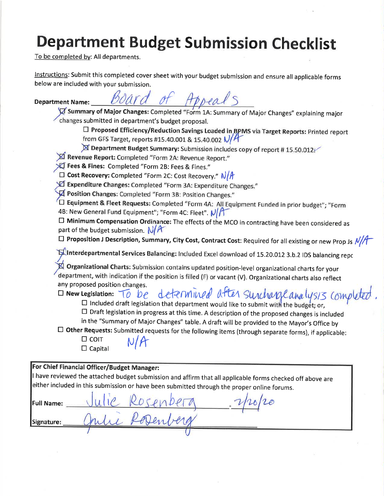# **Department Budget Submission Checklist**

To be completed by: All departments.

Instructions: Submit this completed cover sheet with your budget submission and ensure all applicable forms below are included with your submission.

**Department Name:** 

thread s

Summary of Major Changes: Completed "Form 1A: Summary of Major Changes" explaining major changes submitted in department's budget proposal.

□ Proposed Efficiency/Reduction Savings Loaded in, BPMS via Target Reports: Printed report from GFS Target, reports #15.40.001 & 15.40.002 V/H

 $\cancel{\boxtimes}$  Department Budget Summary: Submission includes copy of report #15.50.012.

Revenue Report: Completed "Form 2A: Revenue Report."

X Fees & Fines: Completed "Form 2B: Fees & Fines."

□ Cost Recovery: Completed "Form 2C: Cost Recovery." N/A

X Expenditure Changes: Completed "Form 3A: Expenditure Changes."

 $\sqrt{\mathcal{A}}$  Position Changes: Completed "Form 3B: Position Changes."

□ Equipment & Fleet Requests: Completed "Form 4A: All Equipment Funded in prior budget"; "Form 4B: New General Fund Equipment"; "Form 4C: Fleet". N/

 $\square$  Minimum Compensation Ordinance: The effects of the MCO in contracting have been considered as part of the budget submission.  $N/R$ 

 $\Box$  Proposition J Description, Summary, City Cost, Contract Cost: Required for all existing or new Prop Js  $N/M$ 

**TS Interdepartmental Services Balancing:** Included Excel download of 15.20.012 3.b.2 IDS balancing repc

Organizational Charts: Submission contains updated position-level organizational charts for your department, with indication if the position is filled (F) or vacant (V). Organizational charts also reflect any proposed position changes.

determined after surcharge analysis completed  $\square$  New Legislation:  $\bigcirc$   $\bigcirc$   $\bigcirc$  $\square$  Included draft legislation that department would like to submit with the budget; or,

□ Draft legislation in progress at this time. A description of the proposed changes is included

in the "Summary of Major Changes" table. A draft will be provided to the Mayor's Office by

□ Other Requests: Submitted requests for the following items (through separate forms), if applicable:

 $\Box$  COIT  $\Box$  Capital

For Chief Financial Officer/Budget Manager: I have reviewed the attached budget submission and affirm that all applicable forms checked off above are either included in this submission or have been submitted through the proper online forums. Full Name: Signature: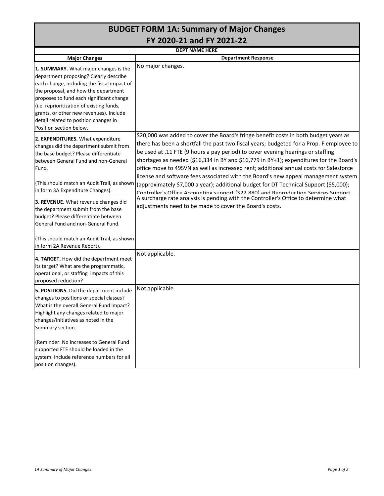|                                                                                                                                                                                                                                                                                                                                                                                | <b>BUDGET FORM 1A: Summary of Major Changes</b>                                                                                                                                                                                                                                                                                                                                                                                                                                                                                                                                                                                                                                                                                |  |  |  |  |  |  |  |
|--------------------------------------------------------------------------------------------------------------------------------------------------------------------------------------------------------------------------------------------------------------------------------------------------------------------------------------------------------------------------------|--------------------------------------------------------------------------------------------------------------------------------------------------------------------------------------------------------------------------------------------------------------------------------------------------------------------------------------------------------------------------------------------------------------------------------------------------------------------------------------------------------------------------------------------------------------------------------------------------------------------------------------------------------------------------------------------------------------------------------|--|--|--|--|--|--|--|
| FY 2020-21 and FY 2021-22                                                                                                                                                                                                                                                                                                                                                      |                                                                                                                                                                                                                                                                                                                                                                                                                                                                                                                                                                                                                                                                                                                                |  |  |  |  |  |  |  |
|                                                                                                                                                                                                                                                                                                                                                                                | <b>DEPT NAME HERE</b>                                                                                                                                                                                                                                                                                                                                                                                                                                                                                                                                                                                                                                                                                                          |  |  |  |  |  |  |  |
| <b>Major Changes</b>                                                                                                                                                                                                                                                                                                                                                           | <b>Department Response</b>                                                                                                                                                                                                                                                                                                                                                                                                                                                                                                                                                                                                                                                                                                     |  |  |  |  |  |  |  |
| 1. SUMMARY. What major changes is the<br>department proposing? Clearly describe<br>each change, including the fiscal impact of<br>the proposal, and how the department<br>proposes to fund each significant change<br>(i.e. reprioritization of existing funds,<br>grants, or other new revenues). Include<br>detail related to position changes in<br>Position section below. | No major changes.                                                                                                                                                                                                                                                                                                                                                                                                                                                                                                                                                                                                                                                                                                              |  |  |  |  |  |  |  |
| 2. EXPENDITURES. What expenditure<br>changes did the department submit from<br>the base budget? Please differentiate<br>between General Fund and non-General<br>Fund.<br>(This should match an Audit Trail, as shown<br>in form 3A Expenditure Changes).                                                                                                                       | \$20,000 was added to cover the Board's fringe benefit costs in both budget years as<br>there has been a shortfall the past two fiscal years; budgeted for a Prop. F employee to<br>be used at .11 FTE (9 hours a pay period) to cover evening hearings or staffing<br>shortages as needed (\$16,334 in BY and \$16,779 in BY+1); expenditures for the Board's<br>office move to 49SVN as well as increased rent; additional annual costs for Salesforce<br>license and software fees associated with the Board's new appeal management system<br>(approximately \$7,000 a year); additional budget for DT Technical Support (\$5,000);<br>Controller's Office Accounting support (\$22,880) and Reproduction Services Support |  |  |  |  |  |  |  |
| 3. REVENUE. What revenue changes did<br>the department submit from the base<br>budget? Please differentiate between<br>General Fund and non-General Fund.<br>(This should match an Audit Trail, as shown<br>in form 2A Revenue Report).                                                                                                                                        | A surcharge rate analysis is pending with the Controller's Office to determine what<br>adjustments need to be made to cover the Board's costs.                                                                                                                                                                                                                                                                                                                                                                                                                                                                                                                                                                                 |  |  |  |  |  |  |  |
| 4. TARGET. How did the department meet<br>its target? What are the programmatic,<br>operational, or staffing impacts of this<br>proposed reduction?                                                                                                                                                                                                                            | Not applicable.                                                                                                                                                                                                                                                                                                                                                                                                                                                                                                                                                                                                                                                                                                                |  |  |  |  |  |  |  |
| 5. POSITIONS. Did the department include<br>changes to positions or special classes?<br>What is the overall General Fund impact?<br>Highlight any changes related to major<br>changes/initiatives as noted in the<br>Summary section.<br>(Reminder: No increases to General Fund                                                                                               | Not applicable.                                                                                                                                                                                                                                                                                                                                                                                                                                                                                                                                                                                                                                                                                                                |  |  |  |  |  |  |  |
| supported FTE should be loaded in the<br>system. Include reference numbers for all<br>position changes).                                                                                                                                                                                                                                                                       |                                                                                                                                                                                                                                                                                                                                                                                                                                                                                                                                                                                                                                                                                                                                |  |  |  |  |  |  |  |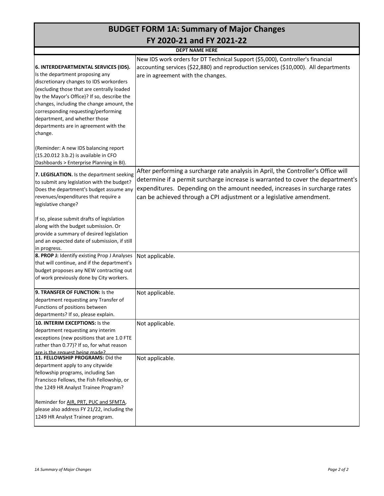| <b>BUDGET FORM 1A: Summary of Major Changes</b>                                                                                                                                                                                                                                                                                                                                          |                                                                                                                                                                                                                                                                                                                            |  |  |  |  |  |  |  |
|------------------------------------------------------------------------------------------------------------------------------------------------------------------------------------------------------------------------------------------------------------------------------------------------------------------------------------------------------------------------------------------|----------------------------------------------------------------------------------------------------------------------------------------------------------------------------------------------------------------------------------------------------------------------------------------------------------------------------|--|--|--|--|--|--|--|
|                                                                                                                                                                                                                                                                                                                                                                                          | FY 2020-21 and FY 2021-22                                                                                                                                                                                                                                                                                                  |  |  |  |  |  |  |  |
|                                                                                                                                                                                                                                                                                                                                                                                          | <b>DEPT NAME HERE</b>                                                                                                                                                                                                                                                                                                      |  |  |  |  |  |  |  |
| 6. INTERDEPARTMENTAL SERVICES (IDS).<br>Is the department proposing any<br>discretionary changes to IDS workorders<br>(excluding those that are centrally loaded<br>by the Mayor's Office)? If so, describe the<br>changes, including the change amount, the<br>corresponding requesting/performing<br>department, and whether those<br>departments are in agreement with the<br>change. | New IDS work orders for DT Technical Support (\$5,000), Controller's financial<br>accounting services (\$22,880) and reproduction services (\$10,000). All departments<br>are in agreement with the changes.                                                                                                               |  |  |  |  |  |  |  |
| (Reminder: A new IDS balancing report<br>(15.20.012 3.b.2) is available in CFO<br>Dashboards > Enterprise Planning in BI).                                                                                                                                                                                                                                                               |                                                                                                                                                                                                                                                                                                                            |  |  |  |  |  |  |  |
| 7. LEGISLATION. Is the department seeking<br>to submit any legislation with the budget?<br>Does the department's budget assume any<br>revenues/expenditures that require a<br>legislative change?                                                                                                                                                                                        | After performing a surcharge rate analysis in April, the Controller's Office will<br>determine if a permit surcharge increase is warranted to cover the department's<br>expenditures. Depending on the amount needed, increases in surcharge rates<br>can be achieved through a CPI adjustment or a legislative amendment. |  |  |  |  |  |  |  |
| If so, please submit drafts of legislation<br>along with the budget submission. Or<br>provide a summary of desired legislation<br>and an expected date of submission, if still<br>in progress.                                                                                                                                                                                           |                                                                                                                                                                                                                                                                                                                            |  |  |  |  |  |  |  |
| 8. PROP J: Identify existing Prop J Analyses<br>that will continue, and if the department's<br>budget proposes any NEW contracting out<br>of work previously done by City workers.                                                                                                                                                                                                       | Not applicable.                                                                                                                                                                                                                                                                                                            |  |  |  |  |  |  |  |
| 9. TRANSFER OF FUNCTION: Is the<br>department requesting any Transfer of<br>Functions of positions between<br>departments? If so, please explain.                                                                                                                                                                                                                                        | Not applicable.                                                                                                                                                                                                                                                                                                            |  |  |  |  |  |  |  |
| 10. INTERIM EXCEPTIONS: Is the<br>department requesting any interim<br>exceptions (new positions that are 1.0 FTE<br>rather than 0.77)? If so, for what reason<br>are is the request being made?                                                                                                                                                                                         | Not applicable.                                                                                                                                                                                                                                                                                                            |  |  |  |  |  |  |  |
| 11. FELLOWSHIP PROGRAMS: Did the<br>department apply to any citywide<br>fellowship programs, including San<br>Francisco Fellows, the Fish Fellowship, or<br>the 1249 HR Analyst Trainee Program?<br>Reminder for AIR, PRT, PUC and SFMTA,<br>please also address FY 21/22, including the<br>1249 HR Analyst Trainee program.                                                             | Not applicable.                                                                                                                                                                                                                                                                                                            |  |  |  |  |  |  |  |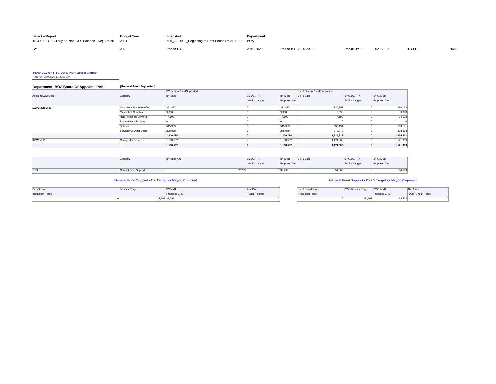| <b>Select a Report</b><br>15.40.001 GFS Target & Non GFS Balance - Dept Detail | <b>Budget Year</b><br>2021 | Snapshot<br>Z09 12/20/19 Beginning of Dept Phase FY 21 & 22 BOA | <b>Department</b> |                    |            |           |       |      |
|--------------------------------------------------------------------------------|----------------------------|-----------------------------------------------------------------|-------------------|--------------------|------------|-----------|-------|------|
| <b>rv</b>                                                                      | 2020                       | <b>Phase CY</b>                                                 | 2019-2020         | Phase BY 2020-2021 | Phase BY+1 | 2021-2022 | $BY+$ | 2022 |

**15.40.001 GFS Target & Non GFS Balance** Time run: 2/20/2020 11:42:20 AM

## **Department: BOA Board Of Appeals - PAB (General Fund Supported)**

|                    |                             | <b>BY General Fund Supported</b> |             |              | BY+1 General Fund Supported |             |              |
|--------------------|-----------------------------|----------------------------------|-------------|--------------|-----------------------------|-------------|--------------|
| Account Lvl 2 Code | Category                    | BY Base                          | BY DEPT +   | BY MYR       | BY+1 Base                   | BY+1 DEPT + | BY+1 MYR     |
|                    |                             |                                  | MYR Changes | Proposed Amt |                             | MYR Changes | Proposed Amt |
| <b>EXPENDITURE</b> | Mandatory Fringe Benefits   | 322.417                          |             | 322.417      | 330,153                     |             | 330,153      |
|                    | Materials & Supplies        | 9,398                            |             | 9,398        | 9,398                       |             | 9,398        |
|                    | Non-Personnel Services      | 74,192                           |             | 74,192       | 74,192                      |             | 74,192       |
|                    | Programmatic Projects       |                                  |             |              |                             |             |              |
|                    | Salaries                    | 515,909                          |             | 515,909      | 533,191                     |             | 533,191      |
|                    | Services Of Other Depts     | 278,878                          |             | 278,878      | 278,878                     |             | 278,878      |
|                    |                             | 1,200,794                        |             | 1,200,794    | 1,225,812                   |             | 1,225,812    |
| <b>REVENUE</b>     | <b>Charges for Services</b> | 1,168,502                        |             | 1,168,502    | 1,171,309                   |             | 1,171,309    |
|                    |                             | 1,168,502                        |             | 1,168,502    | 1,171,309                   |             | 1,171,309    |

|     | Category             | BY Base Amt | BY DEPT +   | BY MYR       | BY+1 Base | BY+1 DEPT-  | BY+1 MYR     |        |
|-----|----------------------|-------------|-------------|--------------|-----------|-------------|--------------|--------|
|     |                      |             | MYR Changes | Proposed Amt |           | MYR Changes | Proposed Amt |        |
|     |                      |             |             |              |           |             |              |        |
| GFS | General Fund Support | 32,292      |             | 32,292       | 54,503    |             |              | 54,503 |

### **General Fund Support - BY Target vs Mayor Proposed General Fund Support - BY+ 1 Target vs Mayor Proposed**

| Department       | Baseline Target | BYMYR         | Amt Over       | BY+1 Department         | BY+1 Baseline Target BY+1 MYR |              | BY+1 Amt            |
|------------------|-----------------|---------------|----------------|-------------------------|-------------------------------|--------------|---------------------|
| Reduction Target |                 | Proposed GFS  | (Under) Target | <b>Reduction Target</b> |                               | Proposed GFS | Over (Under) Target |
|                  |                 | 32.292 32.292 |                |                         | 54,503                        | 54,503       |                     |

| BY+1 Department         | BY+1 Baseline Target | BY+1 MYR     | BY+1 Amt            |
|-------------------------|----------------------|--------------|---------------------|
| <b>Reduction Target</b> |                      | Proposed GFS | Over (Under) Target |
|                         | 54,503               | 54.503       |                     |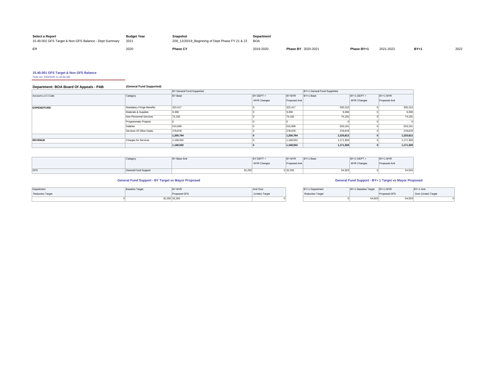| <b>Select a Report</b><br>15.40.002 GFS Target & Non-GFS Balance - Dept Summary | <b>Budget Year</b><br>2021 | Snapshot<br>Z09_12/20/19_Beginning of Dept Phase FY 21 & 22 BOA | <b>Department</b> |                           |            |           |          |      |
|---------------------------------------------------------------------------------|----------------------------|-----------------------------------------------------------------|-------------------|---------------------------|------------|-----------|----------|------|
| CY                                                                              | 200                        | <b>Phase CY</b>                                                 | 2019-2020         | <b>Phase BY 2020-2021</b> | Phase BY+1 | 2021-2022 | $BY + 1$ | 2022 |

**15.40.001 GFS Target & Non GFS Balance** Time run: 2/20/2020 11:44:46 AM

## **Department: BOA Board Of Appeals - PAB (General Fund Supported)**

|                    |                           | <b>BY General Fund Supported</b> |             |               | BY+1 General Fund Supported |             |              |
|--------------------|---------------------------|----------------------------------|-------------|---------------|-----------------------------|-------------|--------------|
| Account Lvl 2 Code | Category                  | <b>BY Base</b>                   | BY DEPT +   | <b>BY MYR</b> | BY+1 Base                   | BY+1 DEPT + | BY+1 MYR     |
|                    |                           |                                  | MYR Changes | Proposed Amt  |                             | MYR Changes | Proposed Amt |
| <b>EXPENDITURE</b> | Mandatory Fringe Benefits | 322,417                          |             | 322.417       | 330,153                     |             | 330,153      |
|                    | Materials & Supplies      | 9,398                            |             | 9,398         | 9,398                       |             | 9,398        |
|                    | Non-Personnel Services    | 74,192                           |             | 74,192        | 74.192                      |             | 74,192       |
|                    | Programmatic Projects     |                                  |             |               |                             |             |              |
|                    | Salaries                  | 515,909                          |             | 515,909       | 533,191                     |             | 533,191      |
|                    | Services Of Other Depts   | 278,878                          |             | 278,878       | 278,878                     |             | 278,878      |
|                    |                           | 1,200,794                        |             | 1,200,794     | 1,225,812                   |             | 1,225,812    |
| <b>REVENUE</b>     | Charges for Services      | 1,168,502                        |             | 1,168,502     | 1,171,309                   |             | 1,171,309    |
|                    |                           | 1,168,502                        |             | 1,168,502     | 1,171,309                   |             | 1,171,309    |

|     | Cotogoni<br>, Jellegory | <b>BY Base Amt</b> | BY DEPT +   | <b>BY MYR</b> | BY+1 Base | BY+1 DEPT   | BY+1 MYR    |        |
|-----|-------------------------|--------------------|-------------|---------------|-----------|-------------|-------------|--------|
|     |                         |                    | MYR Changes | Proposed Amt  |           | MYR Changes | Proposed Am |        |
|     |                         |                    |             |               |           |             |             |        |
| GFS | General Fund Support    | 32,292             |             | 0 32,292      | 54,503    |             |             | 54,503 |

### **General Fund Support - BY Target vs Mayor Proposed General Fund Support - BY+ 1 Target vs Mayor Proposed**

| Department              | <b>Baseline Target</b> | BY MYR             | Amt Over       | BY+1 Department  | BY+1 Baseline Target | $BY+1$ MYR   | BY+1 Amt            |
|-------------------------|------------------------|--------------------|----------------|------------------|----------------------|--------------|---------------------|
| <b>Reduction Target</b> |                        | Proposed GFS       | (Under) Target | Reduction Target |                      | Proposed GFS | Over (Under) Target |
|                         |                        | 32,292 32,292<br>. |                |                  | 54,503               | 54,503       |                     |

| BY+1 Department         | IBY+1 Baseline Target | BY+1 MYR     | BY+1 Amt            |
|-------------------------|-----------------------|--------------|---------------------|
| <b>Reduction Target</b> |                       | Proposed GFS | Over (Under) Target |
|                         | 54.503                | 54,503       |                     |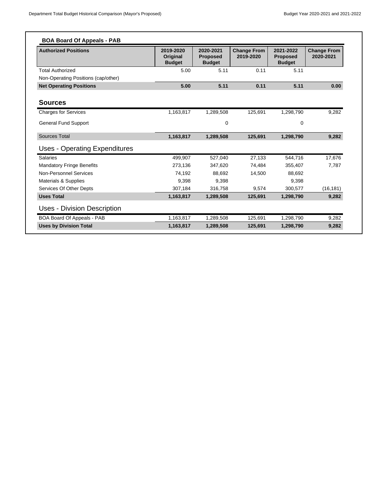| <b>Authorized Positions</b>          | 2019-2020<br>Original<br><b>Budget</b> | 2020-2021<br><b>Proposed</b><br><b>Budget</b> | <b>Change From</b><br>2019-2020 | 2021-2022<br><b>Proposed</b><br><b>Budget</b> | <b>Change From</b><br>2020-2021 |
|--------------------------------------|----------------------------------------|-----------------------------------------------|---------------------------------|-----------------------------------------------|---------------------------------|
| <b>Total Authorized</b>              | 5.00                                   | 5.11                                          | 0.11                            | 5.11                                          |                                 |
| Non-Operating Positions (cap/other)  |                                        |                                               |                                 |                                               |                                 |
| <b>Net Operating Positions</b>       | 5.00                                   | 5.11                                          | 0.11                            | 5.11                                          | 0.00                            |
| <b>Sources</b>                       |                                        |                                               |                                 |                                               |                                 |
| <b>Charges for Services</b>          | 1,163,817                              | 1,289,508                                     | 125,691                         | 1,298,790                                     | 9,282                           |
| <b>General Fund Support</b>          |                                        | 0                                             |                                 | $\mathbf 0$                                   |                                 |
| <b>Sources Total</b>                 | 1,163,817                              | 1,289,508                                     | 125,691                         | 1,298,790                                     | 9,282                           |
| <b>Uses - Operating Expenditures</b> |                                        |                                               |                                 |                                               |                                 |
| <b>Salaries</b>                      | 499.907                                | 527.040                                       | 27,133                          | 544.716                                       | 17.676                          |
| <b>Mandatory Fringe Benefits</b>     | 273,136                                | 347,620                                       | 74.484                          | 355,407                                       | 7.787                           |
| Non-Personnel Services               | 74,192                                 | 88.692                                        | 14,500                          | 88,692                                        |                                 |
| Materials & Supplies                 | 9.398                                  | 9.398                                         |                                 | 9,398                                         |                                 |
| Services Of Other Depts              | 307,184                                | 316.758                                       | 9.574                           | 300,577                                       | (16, 181)                       |
| <b>Uses Total</b>                    | 1,163,817                              | 1,289,508                                     | 125,691                         | 1,298,790                                     | 9,282                           |
| Uses - Division Description          |                                        |                                               |                                 |                                               |                                 |
| BOA Board Of Appeals - PAB           | 1,163,817                              | 1,289,508                                     | 125,691                         | 1,298,790                                     | 9,282                           |
| <b>Uses by Division Total</b>        | 1,163,817                              | 1.289.508                                     | 125,691                         | 1,298,790                                     | 9,282                           |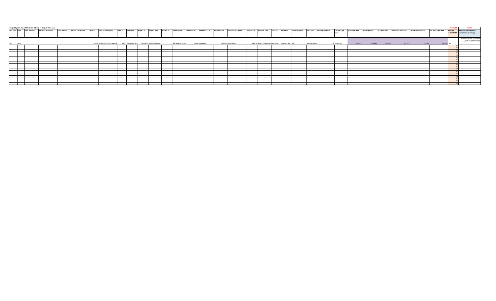|                                                                                                                                                                                                                                      | udget System Report 15.30.005 filtered on Regular Revenues |                                                                                                                                    |                                                                                                                                                                                                                                                                                                                                                                                                                              |  |  |  |  |  |  |  |  |                    |  |                 |  |                   |                    |                       |                     |              |                     |                   |                   |                     |                                  |         |        | <b>FORMULA</b> | <b>FILL IN</b>                                                    |
|--------------------------------------------------------------------------------------------------------------------------------------------------------------------------------------------------------------------------------------|------------------------------------------------------------|------------------------------------------------------------------------------------------------------------------------------------|------------------------------------------------------------------------------------------------------------------------------------------------------------------------------------------------------------------------------------------------------------------------------------------------------------------------------------------------------------------------------------------------------------------------------|--|--|--|--|--|--|--|--|--------------------|--|-----------------|--|-------------------|--------------------|-----------------------|---------------------|--------------|---------------------|-------------------|-------------------|---------------------|----------------------------------|---------|--------|----------------|-------------------------------------------------------------------|
| <b>GFS Type Dept</b>                                                                                                                                                                                                                 | <b>Dept Division</b>                                       | <b>Division Description</b>                                                                                                        | <b>TRIO ID</b><br><b>AAO Category</b><br><b>Dept Section</b><br><b>TRIO Title</b><br><b>AAO Title</b><br><b>Change Type Title</b><br><b>Section Description</b><br><b>Dept ID Description</b><br><b>Activity Title</b><br><b>Authority Title</b><br><b>Account Lvl 5</b><br><b>Account Lvl 5 Name</b><br>Account ID<br><b>Account Title</b><br>Fund ID<br><b>Activity ID</b><br>Authority ID<br><b>Project ID</b><br>Dept ID |  |  |  |  |  |  |  |  |                    |  |                 |  |                   | <b>Change Type</b> | <b>Start Dept Amt</b> | <b>End Dept Amt</b> | Var Dept Amt | Start BY+1 Dept Amt | End BY+1 Dept Amt | Var BY+1 Dept Amt | Change<br>vhmitted? | <b>Revenue Description &amp;</b> |         |        |                |                                                                   |
|                                                                                                                                                                                                                                      |                                                            |                                                                                                                                    |                                                                                                                                                                                                                                                                                                                                                                                                                              |  |  |  |  |  |  |  |  |                    |  |                 |  |                   |                    |                       |                     |              | Code                |                   |                   |                     |                                  |         |        |                | <b>Explanation of Change</b>                                      |
|                                                                                                                                                                                                                                      |                                                            |                                                                                                                                    |                                                                                                                                                                                                                                                                                                                                                                                                                              |  |  |  |  |  |  |  |  |                    |  |                 |  |                   |                    |                       |                     |              |                     |                   |                   |                     |                                  |         |        |                |                                                                   |
|                                                                                                                                                                                                                                      |                                                            |                                                                                                                                    |                                                                                                                                                                                                                                                                                                                                                                                                                              |  |  |  |  |  |  |  |  |                    |  |                 |  |                   |                    |                       |                     |              |                     |                   |                   |                     |                                  |         |        |                | Increased Surcharges are needed to                                |
|                                                                                                                                                                                                                                      |                                                            |                                                                                                                                    |                                                                                                                                                                                                                                                                                                                                                                                                                              |  |  |  |  |  |  |  |  |                    |  |                 |  |                   |                    |                       |                     |              |                     |                   |                   |                     |                                  |         |        |                | cover the Board's increase<br>expenditures as outlined in Form 3A |
| <b>GFS</b>                                                                                                                                                                                                                           | <b>BOA</b>                                                 |                                                                                                                                    |                                                                                                                                                                                                                                                                                                                                                                                                                              |  |  |  |  |  |  |  |  | 1 BA Appeals Proce |  | 10000 Operating |  | 460126 4600C4Svcs |                    |                       | Regular Reven       |              | 4 On-Going          | 1125272           |                   |                     | 112527                           | 1252752 | 127480 |                |                                                                   |
| <u> The Communication of the Communication of</u>                                                                                                                                                                                    |                                                            | 232076 BOA Board Of Appeals - P 10000 GF Annual Aco 10026677 BA Appeals Proce<br>460126 Board Of Appeals Surcharge Unspecified D01 |                                                                                                                                                                                                                                                                                                                                                                                                                              |  |  |  |  |  |  |  |  |                    |  |                 |  |                   |                    |                       |                     |              |                     |                   |                   |                     |                                  |         |        |                |                                                                   |
| <u> The Communication of the Communication of the Communication of the Communication of the Communication of the Communication of the Communication of the Communication of the Communication of the Communication of the Commun</u> |                                                            |                                                                                                                                    |                                                                                                                                                                                                                                                                                                                                                                                                                              |  |  |  |  |  |  |  |  |                    |  |                 |  |                   |                    |                       |                     |              |                     |                   |                   |                     |                                  |         |        |                |                                                                   |
|                                                                                                                                                                                                                                      |                                                            |                                                                                                                                    |                                                                                                                                                                                                                                                                                                                                                                                                                              |  |  |  |  |  |  |  |  |                    |  |                 |  |                   |                    |                       |                     |              |                     |                   |                   |                     |                                  |         |        |                |                                                                   |
|                                                                                                                                                                                                                                      |                                                            |                                                                                                                                    |                                                                                                                                                                                                                                                                                                                                                                                                                              |  |  |  |  |  |  |  |  |                    |  |                 |  |                   |                    |                       |                     |              |                     |                   |                   |                     |                                  |         |        |                |                                                                   |
|                                                                                                                                                                                                                                      |                                                            |                                                                                                                                    |                                                                                                                                                                                                                                                                                                                                                                                                                              |  |  |  |  |  |  |  |  |                    |  |                 |  |                   |                    |                       |                     |              |                     |                   |                   |                     |                                  |         |        |                |                                                                   |
|                                                                                                                                                                                                                                      |                                                            |                                                                                                                                    |                                                                                                                                                                                                                                                                                                                                                                                                                              |  |  |  |  |  |  |  |  |                    |  |                 |  |                   |                    |                       |                     |              |                     |                   |                   |                     |                                  |         |        |                |                                                                   |
|                                                                                                                                                                                                                                      |                                                            |                                                                                                                                    |                                                                                                                                                                                                                                                                                                                                                                                                                              |  |  |  |  |  |  |  |  |                    |  |                 |  |                   |                    |                       |                     |              |                     |                   |                   |                     |                                  |         |        |                |                                                                   |
|                                                                                                                                                                                                                                      |                                                            |                                                                                                                                    |                                                                                                                                                                                                                                                                                                                                                                                                                              |  |  |  |  |  |  |  |  |                    |  |                 |  |                   |                    |                       |                     |              |                     |                   |                   |                     |                                  |         |        |                |                                                                   |
|                                                                                                                                                                                                                                      |                                                            |                                                                                                                                    |                                                                                                                                                                                                                                                                                                                                                                                                                              |  |  |  |  |  |  |  |  |                    |  |                 |  |                   |                    |                       |                     |              |                     |                   |                   |                     |                                  |         |        |                |                                                                   |
|                                                                                                                                                                                                                                      |                                                            |                                                                                                                                    |                                                                                                                                                                                                                                                                                                                                                                                                                              |  |  |  |  |  |  |  |  |                    |  |                 |  |                   |                    |                       |                     |              |                     |                   |                   |                     |                                  |         |        |                |                                                                   |
|                                                                                                                                                                                                                                      |                                                            |                                                                                                                                    |                                                                                                                                                                                                                                                                                                                                                                                                                              |  |  |  |  |  |  |  |  |                    |  |                 |  |                   |                    |                       |                     |              |                     |                   |                   |                     |                                  |         |        |                |                                                                   |
|                                                                                                                                                                                                                                      |                                                            |                                                                                                                                    |                                                                                                                                                                                                                                                                                                                                                                                                                              |  |  |  |  |  |  |  |  |                    |  |                 |  |                   |                    |                       |                     |              |                     |                   |                   |                     |                                  |         |        |                |                                                                   |
|                                                                                                                                                                                                                                      |                                                            |                                                                                                                                    |                                                                                                                                                                                                                                                                                                                                                                                                                              |  |  |  |  |  |  |  |  |                    |  |                 |  |                   |                    |                       |                     |              |                     |                   |                   |                     |                                  |         |        |                |                                                                   |
|                                                                                                                                                                                                                                      |                                                            |                                                                                                                                    |                                                                                                                                                                                                                                                                                                                                                                                                                              |  |  |  |  |  |  |  |  |                    |  |                 |  |                   |                    |                       |                     |              |                     |                   |                   |                     |                                  |         |        |                |                                                                   |
|                                                                                                                                                                                                                                      |                                                            |                                                                                                                                    |                                                                                                                                                                                                                                                                                                                                                                                                                              |  |  |  |  |  |  |  |  |                    |  |                 |  |                   |                    |                       |                     |              |                     |                   |                   |                     |                                  |         |        |                |                                                                   |
|                                                                                                                                                                                                                                      |                                                            |                                                                                                                                    |                                                                                                                                                                                                                                                                                                                                                                                                                              |  |  |  |  |  |  |  |  |                    |  |                 |  |                   |                    |                       |                     |              |                     |                   |                   |                     |                                  |         |        |                |                                                                   |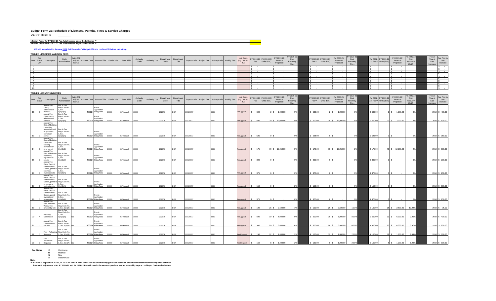### **Budget Form 2B: Schedule of Licenses, Permits, Fines & Service Charges**

DEPARTMENT:

**Inflation Factor for FY 2020-21 Fee Auto Increase as per Code Section \*\* Inflation Factor for FY 2021-22 Fee Auto Increase as per Code Section \*\***

### **CPI will be updated in January 2020. Call Controller's Budget Office to confirm CPI before submitting.**

### **TABLE 1 - MODIFIED AND NEW FEES**

| Fee<br><b>Status</b><br>Item<br>M/N   | Description                                                                     | Code<br>Authorization                                           | Auto CPI<br>Adjust<br>Yes/No |                                             | Account Code Account Title Fund Code | Fund Title       | Authority<br>Code | Authority Title | Department<br>Code | Department<br>Title |              |               |      | Project Code Project Title Activity Code Activity Title (e.g., per sq. | <b>Unit Basis</b><br>$ft.$ )          | FY 2019-20 FY 2019-20<br>Fee | Units (Est. | FY 2019-20<br>Revenue<br>Proposed | Y 2019-21<br>Cost<br>Recovery           | Fee**     | Y 2020-21 FY 2020-21<br>Units (Est.) | FY 2020-21<br>Revenue<br>Proposed | Y 2020-21<br>Cost<br>Recovery           | FY 2021- FY 2021-22<br>22 Fee **<br>Units (Est.) | FY 2021-22<br>Revenue<br>Proposed | Y 2021-2<br>Cost<br>Recovery            | Fiscal<br>Year of<br>Last                    | Fee Prior to<br>Last<br>Increase |
|---------------------------------------|---------------------------------------------------------------------------------|-----------------------------------------------------------------|------------------------------|---------------------------------------------|--------------------------------------|------------------|-------------------|-----------------|--------------------|---------------------|--------------|---------------|------|------------------------------------------------------------------------|---------------------------------------|------------------------------|-------------|-----------------------------------|-----------------------------------------|-----------|--------------------------------------|-----------------------------------|-----------------------------------------|--------------------------------------------------|-----------------------------------|-----------------------------------------|----------------------------------------------|----------------------------------|
| $\overline{1}$                        |                                                                                 |                                                                 |                              |                                             |                                      |                  |                   |                 |                    |                     |              |               |      |                                                                        |                                       |                              |             |                                   | (Est.)                                  |           |                                      |                                   | (Est.)                                  |                                                  |                                   | (Est.)                                  | Increase                                     |                                  |
| $\overline{2}$<br>3 <sup>1</sup>      |                                                                                 |                                                                 |                              |                                             |                                      |                  |                   |                 |                    |                     |              |               |      |                                                                        |                                       |                              |             | ۰.                                |                                         |           |                                      |                                   |                                         |                                                  | $\sim$                            |                                         |                                              |                                  |
| $\begin{array}{c} 4 \\ 5 \end{array}$ |                                                                                 |                                                                 |                              |                                             |                                      |                  |                   |                 |                    |                     |              |               |      |                                                                        |                                       |                              |             |                                   |                                         |           |                                      |                                   |                                         |                                                  |                                   |                                         |                                              |                                  |
| 6                                     |                                                                                 |                                                                 |                              |                                             |                                      |                  |                   |                 |                    |                     |              |               |      |                                                                        |                                       |                              |             |                                   |                                         |           |                                      |                                   |                                         |                                                  |                                   |                                         |                                              |                                  |
| 7 <sup>1</sup><br>8 <sup>1</sup>      |                                                                                 |                                                                 |                              |                                             |                                      |                  |                   |                 |                    |                     |              |               |      |                                                                        |                                       |                              |             |                                   |                                         |           |                                      |                                   |                                         |                                                  |                                   |                                         |                                              |                                  |
| 9                                     |                                                                                 |                                                                 |                              |                                             |                                      |                  |                   |                 |                    |                     |              |               |      |                                                                        |                                       |                              |             |                                   |                                         |           |                                      |                                   |                                         |                                                  |                                   |                                         |                                              |                                  |
| 10                                    |                                                                                 |                                                                 |                              |                                             |                                      |                  |                   |                 |                    |                     |              |               |      |                                                                        |                                       |                              |             |                                   |                                         |           |                                      |                                   |                                         |                                                  |                                   |                                         |                                              |                                  |
|                                       | <b>TABLE 2 - CONTINUING FEES</b>                                                |                                                                 |                              |                                             |                                      |                  |                   |                 |                    |                     |              |               |      |                                                                        |                                       |                              |             |                                   |                                         |           |                                      |                                   |                                         |                                                  |                                   |                                         |                                              |                                  |
| Fee<br>Item<br><b>Status</b>          | Description                                                                     | Code<br>Authorization                                           | Auto CPI<br>Adjust<br>Yes/No |                                             | Account Code Account Title Fund Code | Fund Title       | Authority<br>Code | Authority Title | Department<br>Code | Department<br>Title | Project Code | Project Title |      | Activity Code Activity Title                                           | Unit Basis<br>(e.g., per sq.<br>ft./) | FY 2019-20 FY 2019-20<br>Fee | Units (Est. | FY 2019-20<br>Revenue<br>Proposed | FY 2019-2<br>Cost<br>Recovery<br>(Est.) | Fee**     | Y 2020-21 FY 2020-21<br>Units (Est.) | FY 2020-21<br>Revenue<br>Proposed | FY 2020-2<br>Cost<br>Recovery<br>(Est.) | FY 2021- FY 2021-22<br>22 Fee**<br>Units (Est.)  | FY 2021-22<br>Revenue<br>Proposed | FY 2021-2<br>Cost<br>Recovery<br>(Est.) | <b>Fiscal</b><br>Year of<br>Last<br>Increase | Fee Prior to<br>Last<br>Increase |
|                                       | Appeal Fees -<br>Zoning<br>Administrator                                        | Bus. & Tax<br>Reg. Code Art<br>, Sec.                           |                              | Permit<br>Application                       |                                      |                  |                   |                 |                    |                     |              |               |      |                                                                        |                                       |                              |             |                                   |                                         |           |                                      |                                   |                                         |                                                  |                                   |                                         |                                              |                                  |
| 11                                    | Variance<br>Appeal Fees -                                                       | B(e)(1)(A)<br>Bus. & Tax                                        |                              | 460124 Filing Fees                          | 10000                                | <b>GF Annual</b> | 0000              |                 | 32076              |                     | 0026677      |               |      |                                                                        | Per Appeal                            | 600                          |             | \$ 1,200.00                       | 9%                                      | \$ 600.00 |                                      | 1,200.00                          | 8%                                      | \$600.00                                         | 1,200.00                          | 8%                                      |                                              | 2010 \$ 400.00                   |
|                                       | Other Zoning<br>Administrator                                                   | Reg. Code Art.<br>1, Sec.                                       |                              | Permit<br>Application                       |                                      |                  |                   |                 |                    |                     |              |               |      |                                                                        |                                       |                              |             |                                   |                                         |           |                                      |                                   |                                         |                                                  |                                   |                                         |                                              |                                  |
|                                       | Decision<br>Appeal Fees                                                         | B(e)(1)(B)                                                      |                              | 460124 Filing Fees                          |                                      | <b>GF Annual</b> |                   |                 |                    |                     | 0026677      |               |      |                                                                        | Per Appeal                            |                              |             | 12,000.00                         | 9%                                      | \$600.00  |                                      | 12,000.00                         | 8%                                      | \$600.00                                         | 12,000.00                         | 8%                                      |                                              | 2010 \$400.00                    |
|                                       | Dept. of Building<br>Inspection,<br>residential hotel<br>or apartment           | Bus. & Tax<br>Reg. Code Art.                                    |                              | Permit                                      |                                      |                  |                   |                 |                    |                     |              |               |      |                                                                        |                                       |                              |             |                                   |                                         |           |                                      |                                   |                                         |                                                  |                                   |                                         |                                              |                                  |
|                                       | conversion<br>permit                                                            | 1, Sec.<br>8(e)(2)(A)                                           |                              | Application<br>460124 Filing Fees           | 10000                                | <b>GF Annual</b> | 10000             |                 |                    |                     | 0026677      |               |      |                                                                        | Per Appeal                            |                              |             |                                   |                                         | \$525.00  |                                      |                                   |                                         | \$525.00                                         |                                   | 0%                                      |                                              |                                  |
|                                       | Appeal Fees<br>Dept. of Building<br>Inspection,<br>building<br>demolition or    | Bus. & Tax<br>Reg. Code Art.<br>1, Sec.                         |                              | Permit<br>Application                       |                                      |                  |                   |                 |                    |                     |              |               |      |                                                                        |                                       |                              |             |                                   |                                         |           |                                      |                                   |                                         |                                                  |                                   |                                         |                                              |                                  |
| 14                                    | other permit                                                                    | 8(e)(2)(B)                                                      |                              | 460124 Filing Fees                          | 10000                                | <b>GF Annual</b> | 10000             |                 | 232076             |                     | 0026677      |               |      |                                                                        | Per Appeal                            | 175                          |             | 70 \$ 12,250.00                   | 3%                                      | \$175.00  |                                      | 70 \$ 12,250.00                   | 2%                                      | \$175.00                                         | 70 \$ 12,250.00                   | 2%                                      |                                              | 2010 \$ 100.00                   |
|                                       | Appeal Fees -<br>Dept. of Building Bus. & Tax<br>Inspection,<br>imposition of   | Reg. Code Art.<br>1, Sec.                                       |                              | Permit<br>Application                       |                                      |                  |                   |                 |                    |                     |              |               |      |                                                                        |                                       |                              |             |                                   |                                         |           |                                      |                                   |                                         |                                                  |                                   |                                         |                                              |                                  |
|                                       | penalty<br>Appeal Fees                                                          | (e)(2)(C)                                                       |                              | 460124 Filing Fees                          | 10000                                | <b>GF Annual</b> | 10000             |                 |                    |                     | 10026677     |               |      |                                                                        | Per Appeal                            |                              |             |                                   |                                         | ann c     |                                      |                                   | 0%                                      | 300.00                                           |                                   | 0%                                      |                                              | 2010 \$ 200.00                   |
|                                       | Police Dept. &<br>Entertainment<br>usiness                                      | Bus. & Tax<br>Comm., permit to Reg. Code Art.<br>1, Sec.        |                              | Permit<br>Application                       |                                      |                  |                   |                 |                    |                     |              |               |      |                                                                        |                                       |                              |             |                                   |                                         |           |                                      |                                   |                                         |                                                  |                                   |                                         |                                              |                                  |
|                                       | owner/operator<br>Appeal Fees -                                                 | 8(e)(3)(A)                                                      |                              | 460124 Filing Fees                          | 10000                                | <b>GF Annual</b> | 10000             |                 | 232076             |                     | 10026677     |               |      |                                                                        | Per Appeal                            |                              |             |                                   | 0%                                      | \$375.00  |                                      |                                   |                                         | \$375.00                                         |                                   | 0%                                      |                                              | 2010 \$ 250.00                   |
|                                       | Police Dept. &<br>Entertainment<br>employee or                                  | Bus. & Tax<br>Comm., permit to Reg. Code Art.<br>1, Sec,        |                              | Permit<br>Application                       |                                      |                  |                   |                 |                    |                     |              |               |      |                                                                        |                                       |                              |             |                                   |                                         |           |                                      |                                   |                                         |                                                  |                                   |                                         |                                              |                                  |
|                                       | contract worker<br>Appeal Fees -                                                | 8(e)(3)(A)                                                      |                              | 460124 Filing Fees                          | 10000                                | GF Annual        | 10000             |                 | 32076              |                     | 0026677      |               |      |                                                                        | Per Appeal                            | 150                          |             |                                   | 2%                                      | \$150.00  |                                      |                                   | 0%                                      | \$150.00                                         |                                   | 0%                                      |                                              | 2010 \$ 100.00                   |
| 18                                    | Police Dept. &<br>Entertainment<br>Comm., permit<br>revocation or<br>suspension | Bus. & Tax<br>Reg. Code Art.<br>1, Sec,<br>8(d)(3)(B)           |                              | Application<br>460124 Filing Fees           | 10000                                | <b>GF Annual</b> | 10000             |                 | 232076             | <b>BOA</b>          | 10026677     |               | 0001 |                                                                        | Per Appeal                            | 375                          |             |                                   | 0%                                      | \$ 375.00 |                                      |                                   | 0%                                      | \$375.00                                         |                                   | 0%                                      |                                              | 2010 \$250.00                    |
|                                       | Appeal Fees -<br>Dept. of Public                                                | Bus. & Tax                                                      |                              | Permit                                      |                                      |                  |                   |                 |                    |                     |              |               |      |                                                                        |                                       |                              |             |                                   |                                         |           |                                      |                                   |                                         |                                                  |                                   |                                         |                                              |                                  |
| 19                                    | Works, tree                                                                     | Reg. Code Art.<br>removal by City 1, Sec. 8(e)(4)<br>Bus. & Tax |                              | Application<br>460124 Filing Fees           | 10000                                | <b>GF Annual</b> | 10000             |                 | 232076             | <b>BOA</b>          | 10026677     |               | 0001 |                                                                        | Per Appeal                            | 100                          |             | 26 \$ 2,600.00                    | 1%                                      | \$100.00  |                                      | 26 \$ 2,600.00                    | 1.33%                                   | \$100.00                                         | 26 \$ 2,600.00                    | 17.22%                                  |                                              | 2010 \$ 75.00                    |
|                                       | Planning                                                                        | Reg. Code Art.<br>1 Sec.                                        |                              | Permit<br>Application                       |                                      |                  |                   |                 |                    |                     |              |               |      |                                                                        |                                       |                              |             |                                   |                                         |           |                                      |                                   |                                         |                                                  |                                   |                                         |                                              |                                  |
| 20                                    | Commission                                                                      | 8(e)(1)(B)                                                      |                              | 460124 Filing Fees                          |                                      | <b>SF Annual</b> |                   |                 |                    |                     | 0026677      |               |      |                                                                        | Per Appeal                            | 600                          |             | 6,000.00                          | 9%                                      | \$600.00  | 10S                                  | 6,000.00                          | 8.00%                                   | \$600.00                                         | 6,000.00<br>$10$ $\sqrt{S}$       | 7.95%                                   |                                              | 2010 \$ 400.00                   |
| 21                                    | Appeal Fees -<br>Other Order or<br>Decision                                     | Bus. & Tax<br>Reg. Code Art.<br>Sec. 8(e)(5)                    |                              | Permit<br>Application<br>460124 Filing Fees | nnon                                 | <b>GF Annual</b> | 0000              |                 | 232076             |                     | 10026677     |               |      |                                                                        | Per Appeal                            | 300                          |             | 20 \$ 6,000.00                    | 4%                                      | \$300.00  |                                      | 20 \$ 6,000.00                    | 4.00%                                   | \$300.00                                         | 20 \$ 6,000.00                    | 3.97%                                   |                                              | 2010 \$ 200.00                   |
|                                       |                                                                                 | Bus. & Tax                                                      |                              | Permit                                      |                                      |                  |                   |                 |                    |                     |              |               |      |                                                                        |                                       |                              |             |                                   |                                         |           |                                      |                                   |                                         |                                                  |                                   |                                         |                                              |                                  |
| 22                                    | Requests                                                                        | Fees - Rehearing Reg. Code Art.<br>1, Sec. 8(e)(6)              |                              | Application<br>460124 Filing Fees           |                                      | <b>GF Annual</b> | 10000             |                 | 32076              |                     | 10026677     |               |      |                                                                        | Per Request                           | 150                          |             | 12 \$ 1,800.00                    | 2%                                      | \$150.00  | 12S                                  | 1,800.00                          | 2.00%                                   | \$150.00                                         | 1,800.00<br>12S                   | 1.99%                                   |                                              | 2010 \$ 100.00                   |
|                                       | Fees -<br>Jurisdiction<br>Requests                                              | Bus. & Tax<br>Reg. Code Art.<br>1, Sec. 8(e)(7)                 |                              | Permit<br>Application<br>460124 Filing Fees | 10000                                | <b>GF Annual</b> |                   |                 |                    |                     | 10026677     |               |      |                                                                        | Per Request                           | 150                          |             | 1,200.00                          |                                         | 150.00    |                                      | 1.200.00                          | 2.00%                                   | \$150.00                                         | 1.200.00                          | 1.99%                                   |                                              | 2010                             |

**Fee Status:** C Continuing<br>M Modified<br>N New

D Discontinued

Note:<br>\*\* If Auto CPI adjustment = Yes, FY 2020-21 and FY 2021-22 Fee will be automatically generated based on the inflation factor determined by the Controller.<br>■ If Auto CPI adjustment = No, FY 2020-21 and FY 2021-22 Fee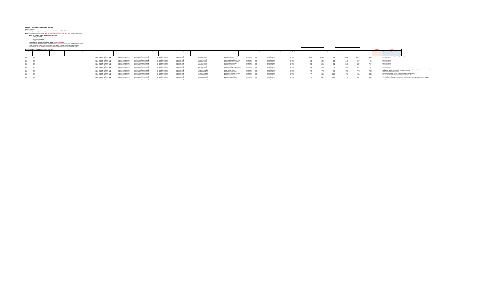**BUDGET FORM ARC Experimental computers to Pring Pays 2**<br>Form the second the second section of the second section of the second section of the second box<br> $\mathbf{F}$  and the second section of the SEM Second Contains the seco

|                |                                                               |                      |                     |                     |                |                                   |                   |                           |            |                                |            |                         |              |                 |              |                     |            |                                       |         |             |              |                    |                   |                                 |        | Total BY Expenditure Variance: |              | \$\$714             | Total BY+1 Expenditure Variance: |                   |       |                                         |                                                                           |                                                                                                                                                        |  |
|----------------|---------------------------------------------------------------|----------------------|---------------------|---------------------|----------------|-----------------------------------|-------------------|---------------------------|------------|--------------------------------|------------|-------------------------|--------------|-----------------|--------------|---------------------|------------|---------------------------------------|---------|-------------|--------------|--------------------|-------------------|---------------------------------|--------|--------------------------------|--------------|---------------------|----------------------------------|-------------------|-------|-----------------------------------------|---------------------------------------------------------------------------|--------------------------------------------------------------------------------------------------------------------------------------------------------|--|
|                | Budget System Regort 15,30,005 filtered on Gross Expenditures |                      |                     |                     |                |                                   |                   |                           |            |                                |            |                         |              |                 |              |                     |            |                                       |         |             |              |                    |                   |                                 |        |                                |              |                     |                                  |                   |       |                                         |                                                                           |                                                                                                                                                        |  |
| GES Tump Dated | Dept Division                                                 | Division Description | <b>Dept Section</b> | Section Description | <b>Deat ID</b> | Dept ID Description               | <b>Council HD</b> |                           | Project ID | <b>Project Title</b>           | Artists II | Articles This           | Authority ID | Authority Title | Account Lv15 | Account Lvl 5 Name  | Account ID | <b>Account Title</b>                  | TRIO ID | TRIO Title  | AAO Category | AAO Title          | Change Type Title | Change Type Code Start Dept Amt |        | End Deat Amt                   | Var Dank Amt | Start BY+1 Dept Amt | End BY+1 Dept Amt                | Var 8Y+1 Dept Amt |       | Change submitted? Explanation of Change |                                                                           |                                                                                                                                                        |  |
|                |                                                               |                      |                     |                     |                |                                   |                   |                           |            |                                |            |                         |              |                 |              |                     |            |                                       |         |             |              |                    |                   |                                 |        |                                |              |                     |                                  |                   |       |                                         |                                                                           |                                                                                                                                                        |  |
|                |                                                               |                      |                     |                     |                |                                   |                   |                           |            |                                |            |                         |              |                 |              |                     |            |                                       |         |             |              |                    |                   |                                 |        |                                |              |                     |                                  |                   |       |                                         |                                                                           |                                                                                                                                                        |  |
|                |                                                               |                      |                     |                     |                |                                   |                   |                           |            |                                |            |                         |              |                 |              |                     |            |                                       |         |             |              |                    |                   |                                 |        |                                |              |                     |                                  |                   |       |                                         |                                                                           |                                                                                                                                                        |  |
|                |                                                               |                      |                     |                     |                | 232076 BOA Board Of Appeals - PAB |                   | 10000 GF Annual Account 1 |            | 10036677 BA Appeals Processing |            | 1 BA Appeals Processing |              | 10000 Operating |              | 501010 50105alary   |            | 503310 Penn Salaries-Misc-Regular     |         | Unspecified |              | Gross Expenditures | 4 On-Going        |                                 | 504892 | 53601                          |              |                     |                                  | 533689            |       |                                         | Mandatory Salary increases plus funding for Prop F @ .11 FTE              |                                                                                                                                                        |  |
|                |                                                               |                      |                     |                     |                | 222076 BOA Board Of Appeals - PAB |                   | 10000 GF Annual Account 1 |            | 33326677 BA Appeals Processing |            | 1 BA Appeals Processing |              | 10000 Operating |              | 513010 5130Frimer   |            | 513010 Retire City Misc               |         | Unspecified |              | Gross Expenditures | 4 On-Goine        |                                 | 111516 | 11405                          |              |                     | 109077                           | 110546            |       |                                         | mandatory increase                                                        |                                                                                                                                                        |  |
|                |                                                               |                      |                     |                     |                | 232076 BOA Board Of Appeals - PAB |                   | 10000 GF Annual Account 1 |            | 10026677 BA Appeals Processing |            | 1 BA Appeals Processing |              | 10000 Operating |              | 514010 5130Fringe   |            | 514010 Social Security (Oasd & Hi)    |         | Unspecified |              | Gross Expenditures | 4 On-Going        |                                 | 29638  | 30328                          |              |                     |                                  | 21250             |       |                                         | mandatory increase                                                        |                                                                                                                                                        |  |
|                |                                                               |                      |                     |                     |                | 232076 BOA Board Of Appeals - PAB |                   | 10000 GF Annual Account   |            | 10036677 BA Appeals Processing |            | 1 BA Appeals Processing |              | 10000 Operating |              | 514020 5120Fringe   |            | 514020 Social Sec-Medicare (4) Only   |         | Unspecified |              | Gross Expenditures | 4 On-Goine        |                                 | 7481   |                                |              |                     |                                  |                   |       |                                         | mandatory increase                                                        |                                                                                                                                                        |  |
|                |                                                               |                      |                     |                     |                | 222076 BOA Board Of Appeals - PAB |                   | 10000 GF Annual Account 1 |            | 10026677 BA Appeals Processing |            | 1 BA Appeals Processing |              | 10000 Operating |              | \$15010 \$130Fringe |            | \$15010 Health Service-City Match     |         | Unspecified |              | Gross Expenditures | 4 On-Going        |                                 | 21438  | 21854                          |              |                     |                                  | 22134             |       |                                         | mandatory increase                                                        |                                                                                                                                                        |  |
|                |                                                               |                      |                     |                     |                | 232076 BOA Board Of Appeals - PAB |                   | 10000 GF Annual Account   |            | 10026677 BA Appeals Processing |            | 1 BA Appeals Processing |              | 10000 Operating |              | 515710 5130Fringe   |            | 515710 Dependent Coverage             |         | Unspecified |              | Gross Expenditures | 4 On-Going        |                                 | 49828  | 50011                          |              | 1107                |                                  |                   |       |                                         | mandatory increase                                                        |                                                                                                                                                        |  |
|                |                                                               |                      |                     |                     |                | 232076 BOA Board Of Appeals - PAB |                   | 10000 GF Annual Account 1 |            | 33326677 BA Appeals Processing |            | 1 BA Appeals Processing |              | 10000 Operating |              | 516010 5130Fringe   |            | 516010 Dental Coverage                |         | Unspecified |              | Gross Expenditures | On-Goine          |                                 | 6189   | 637                            |              |                     |                                  |                   |       |                                         | mandatory increase                                                        |                                                                                                                                                        |  |
|                |                                                               |                      |                     |                     |                | 232076 BOA Board Of Appeals - PAB |                   | 10000 GF Annual Account 1 |            | 33326677 BA Appeals Processing |            | 1 BA Appeals Processing |              | 10000 Operating |              | 517010 5130Fringe   |            | 517010 Unemployment Insurance         |         | Unspecified |              | Gross Expenditures | 4 On-Going        |                                 | 1291   | 142                            |              |                     |                                  |                   |       |                                         | mandatory increase                                                        |                                                                                                                                                        |  |
|                |                                                               |                      |                     |                     |                | 232076 BOA Board Of Appeals - PAB |                   | 10000 GF Annual Account   |            | 10026677 BA Appeals Processing |            | 1 BA Appeals Processing |              | 10000 Operating |              | 519120 5130Frimer   |            | 519120 Long Term Disability Insurance |         | Unspecified |              | Gross Expenditures | 4 On-Goine        |                                 | 1188   |                                |              |                     |                                  |                   |       |                                         | mandatory increase                                                        |                                                                                                                                                        |  |
|                |                                                               |                      |                     |                     |                | 232076 BOA Board Of Appeals - PAB |                   | 10000 GF Annual Account 1 |            | 33326677 BA Appeals Processing |            | 1 BA Appeals Processing |              | 10000 Operating |              | 519990 5130Fringe   |            | 519990 Other Fringe Benefits          |         | Unspecified |              | Gross Expenditures | 4 On-Going        |                                 |        | 2000                           |              |                     |                                  |                   |       |                                         |                                                                           | budents have not covered actual fringe costs for BOA a shortfall of approximately \$20,000 for FY19 and FY18; 20,000 added to ensure costs are covered |  |
|                |                                                               |                      |                     |                     |                | 222076 BOA Board Of Appeals - PAB |                   | 10000 GF Annual Account 1 |            | 10036677 BA Appeals Processing |            | 1 BA Appeals Processing |              | 10000 Operating |              | 522000 5210NPSvcs   |            | 522000 Training - Budget              |         | Unspecified |              | Gross Expenditures | 4 On-Going        |                                 | 2000   |                                |              |                     |                                  |                   |       |                                         | training funds have not been utilized so a reduction is warranted         |                                                                                                                                                        |  |
|                |                                                               |                      |                     |                     |                | 232076 BOA Board Of Appeals - PAB |                   | 10000 GF Annual Account 1 |            | 10026677 BA Appeals Processing |            | 1 BA Appeals Processing |              | 10000 Operating |              | 523050 5210NPSvcs   |            | 523050 Employee Recognition           |         | Unspecified |              | Gross Expenditures | 4 On-Goine        |                                 |        |                                |              |                     |                                  |                   |       |                                         | employee recognition funds not needed                                     |                                                                                                                                                        |  |
|                |                                                               |                      |                     |                     |                | 232076 BOA Board Of Appeals - PAB |                   | 10000 GF Annual Account 1 |            | 10026677 BA Appeals Processing |            |                         |              | 10000 Operating |              | 527000 5210NPSvcs   |            |                                       |         | Unspecified |              | Gross Expenditures | 4 On-Goine        |                                 | 57992  | 7298                           |              |                     |                                  |                   |       |                                         | increased annual licensing costs for the Board's appeal management system |                                                                                                                                                        |  |
|                |                                                               |                      |                     |                     |                |                                   |                   |                           |            |                                |            | 1 BA Appeals Processing |              |                 |              |                     |            | 527000 Prof & Specialized Sycs-Rdgt   |         |             |              |                    |                   |                                 |        |                                |              |                     |                                  |                   |       |                                         |                                                                           |                                                                                                                                                        |  |
|                |                                                               |                      |                     |                     |                | 232076 BOA Board Of Appeals - PAB |                   | 10000 GF Annual Account 1 |            | 10026677 BA Appeals Processing |            | 1 BA Appeals Processing |              | 10000 Operating |              | 581180 5810OthDep   |            | S81180 GF-Con-Fast Team               |         | Unspecified |              | Gross Expenditures | 4 On-Going        |                                 |        | 2288                           |              | 22880               |                                  |                   | 22880 |                                         | cost for controller's office performing accounting functions for BOA      |                                                                                                                                                        |  |
|                |                                                               |                      |                     |                     |                | 232076 BOA Board Of Appeals - PAB |                   | 10000 GF Annual Account   |            | 10026677 BA Appeals Processing |            | 1 BA Appeals Processing |              | 10000 Operating |              | 581210 5810OthDeg   |            | \$81210 OT Technology Infrastructure  |         | Unspecified |              | Gross Expenditures | 4 On-Going        |                                 | 11967  | 3686                           |              |                     |                                  |                   |       |                                         | cost for DT providing technical support to Board office                   |                                                                                                                                                        |  |
|                |                                                               |                      |                     |                     |                | 222076 BOA Board Of Appeals - PAB |                   | 10000 GF Annual Account   |            | 10026677 BA Appeals Processing |            | 1 BA Appeals Processing |              | 10000 Operating |              | 581820 5810OthDep   |            | SE1820 Is-Purch-Reproduction          |         | Unspecified |              | Gross Expenditures | 4 On-Goine        |                                 |        | 30051                          |              | 1000                |                                  |                   |       |                                         |                                                                           | cost for Report to send Roard hearing notification postcards in the guard the Roard Office Insee an R10E clad-                                         |  |
|                |                                                               |                      |                     |                     |                | 232076 BOA Board Of Appeals - PAB |                   | 10000 GE Annual Account   |            | 10020677 BA Appeals Processing |            | 1 BA Appeals Processin  |              | 10000 Operating |              | SE1890 SE10OthDep   |            | SE1890 GF-Rent Paid To Real Estate    |         | Horney Rad  |              | Const Expenditure  |                   |                                 |        |                                |              |                     |                                  |                   |       |                                         |                                                                           | overlap of rent paid for 1650 Mission and 49 SW; rent will not be gaid in F/22 for 1650 Mission.                                                       |  |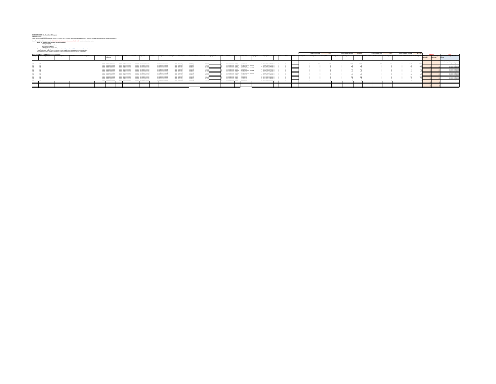$\begin{split} \textbf{D}(\textbf{D}(\textbf{D}(\textbf{D}(\textbf{D}(\textbf{D}(\textbf{D}(\textbf{D}(\textbf{D}(\textbf{D}(\textbf{D}(\textbf{D}(\textbf{D}(\textbf{D}(\textbf{D}(\textbf{D}(\textbf{D}(\textbf{D}(\textbf{D}(\textbf{D}(\textbf{D}(\textbf{D}(\textbf{D}(\textbf{D}(\textbf{D}(\textbf{D}(\textbf{D}(\textbf{D}(\textbf{D}(\textbf{D}(\textbf{D}(\textbf{D}(\textbf{D}(\textbf{D}(\textbf{D}(\textbf{D$ 

| Sudert System Search 15, 50,000 Milwed are Search Town Search 15 and Search 15 and Search |                   | Total BY FTE Variance<br>Start Onat FTE                                                                                                                                                                                                                                                                                  |  |  |                  |  |                                  |                                                   |  |                            |  |                  |                  |  |  |                            |                                           |                                                               |                                       |  |     |              |              |                       |                     |              |  |                                                                                                                         |      |                                |                                                                                                                                                   |
|-------------------------------------------------------------------------------------------|-------------------|--------------------------------------------------------------------------------------------------------------------------------------------------------------------------------------------------------------------------------------------------------------------------------------------------------------------------|--|--|------------------|--|----------------------------------|---------------------------------------------------|--|----------------------------|--|------------------|------------------|--|--|----------------------------|-------------------------------------------|---------------------------------------------------------------|---------------------------------------|--|-----|--------------|--------------|-----------------------|---------------------|--------------|--|-------------------------------------------------------------------------------------------------------------------------|------|--------------------------------|---------------------------------------------------------------------------------------------------------------------------------------------------|
|                                                                                           |                   | <b>Ema Ora Title</b><br><b>Deat Indian</b><br><b>Associated School</b><br><b>Sma Die Grafe</b><br><b>Julherby Title</b><br><b>James Dan ID</b><br>Job Clean Title<br><b>Dreamlessed I</b><br><b>Automotive Titibe</b><br><b>Blacket</b><br><b>Elen Description</b><br><b>Bell No.</b><br><b><i><u>Desartment</u></i></b> |  |  |                  |  |                                  |                                                   |  |                            |  |                  |                  |  |  |                            |                                           |                                                               |                                       |  |     |              |              |                       |                     |              |  |                                                                                                                         |      |                                |                                                                                                                                                   |
|                                                                                           | Walen Description |                                                                                                                                                                                                                                                                                                                          |  |  | Description      |  |                                  |                                                   |  |                            |  |                  |                  |  |  |                            |                                           |                                                               |                                       |  |     | End Deat FTE | Var Deut Pit | <b>Start Drut And</b> | <b>End Oned And</b> | Var Ored And |  | Start EP-1 Dead PTE End EP-1 Dead PTE Vor BTV-1 Dead PTE Eta+1 BTV-1 Dead And EP-1 Dead And EPS-1 Dead And EPTE Changes |      | <b><i><u>Schwitted</u></i></b> | <b>Smaunt Oranges</b> Explanation of FTE and/or Smaunt                                                                                            |
|                                                                                           |                   |                                                                                                                                                                                                                                                                                                                          |  |  | <b>TENFRA B</b>  |  |                                  | <b>Bill Associate Bookseatten</b><br>1,975        |  | 2 Richard Rockster         |  | 10000 Carrieting | SODDistant       |  |  |                            | Prom Former More \$273 C  Legal Septiment |                                                               | 21 PH LINK IS BENES C                 |  |     |              |              |                       |                     |              |  |                                                                                                                         | 1148 |                                | Adjustication for excess than investigate in the form want<br>Authority Pro College Avenue Concerned May<br><b>Backmarker and define shorters</b> |
|                                                                                           |                   |                                                                                                                                                                                                                                                                                                                          |  |  |                  |  |                                  | 1 Bill Annexis Romancis<br>1,977,546              |  | 1 B&Assnab Processing      |  | 10000 Operating  | <b>SOSSIMAN</b>  |  |  |                            |                                           | Toyot Expectations, MMV14 T  Case This Adjustment - Mix 1879. | Senial Class Previated 3              |  |     |              |              |                       |                     |              |  |                                                                                                                         |      |                                |                                                                                                                                                   |
|                                                                                           |                   |                                                                                                                                                                                                                                                                                                                          |  |  |                  |  |                                  | 1 B.S. Awarrach Processin<br>ww                   |  | 1 Bill Assess Processing   |  | 10000 Operating  | <b>SIEPrivan</b> |  |  |                            | lane Europeithus \$171 C.                 | <b>Legisland Analysis</b>                                     | 21 GIL-10CAL23, PROFES C              |  |     |              |              |                       |                     |              |  |                                                                                                                         |      |                                | me-hammarings                                                                                                                                     |
|                                                                                           |                   |                                                                                                                                                                                                                                                                                                                          |  |  |                  |  |                                  | <b>Bill Annexis Romanci</b><br>1,977,546          |  | 2 RX Associate Montgomery  |  | 10000 Operating  | 11KPress         |  |  |                            |                                           | From Fernandicum (1992) 2 - Can Fox Advances - Mr. 2222       | <b>Search Class Scott Gallery Co.</b> |  |     |              |              |                       |                     |              |  |                                                                                                                         |      |                                | The Financial Africa deal                                                                                                                         |
|                                                                                           |                   |                                                                                                                                                                                                                                                                                                                          |  |  |                  |  |                                  | 1. Bill Associate Research                        |  | 2 84 Associate Montgomery  |  | 10000 Corridor   | <b>SIEPrivan</b> |  |  |                            |                                           | Tone Forest From \$273 C Legislated                           | We will control to service in         |  | __  |              |              |                       |                     |              |  |                                                                                                                         |      |                                | The Fitcher Africa debut                                                                                                                          |
|                                                                                           |                   |                                                                                                                                                                                                                                                                                                                          |  |  |                  |  | <b>STORY OF Association and</b>  | <b><i>STORIC BEAMAN BUSINESS</i></b>              |  | 1 Bill Assess Processing   |  | 10000 Operating  | <b>SIEPvage</b>  |  |  |                            |                                           | Gross Expenditure, 9993M Z City Day Adjustment - Mix 82M      | Sancial Clara Previated 1 C           |  | __  |              |              |                       |                     |              |  |                                                                                                                         |      |                                | The Fitcher Africa Annual                                                                                                                         |
|                                                                                           |                   |                                                                                                                                                                                                                                                                                                                          |  |  |                  |  | 100000. Fill Associate Associate | 1003027 BA Assess Processin                       |  | 1 Bill Assess Processing   |  | 10000 Operating  | 11MPrese         |  |  |                            | Gross Expenditure 3273 C                  | <b>Legislappians</b>                                          | 21 GEL-10CAL23, PROFES C              |  |     |              |              |                       |                     |              |  |                                                                                                                         |      |                                |                                                                                                                                                   |
|                                                                                           |                   |                                                                                                                                                                                                                                                                                                                          |  |  |                  |  |                                  | 1203077 BA Asses Precesses                        |  | 1 Bill Assess Processing   |  | 10000 Operating  | 11KPress         |  |  |                            |                                           | Gross Expenditure 19902M Z City Day Adjustment - Mix 8250     | Sensial Class Previated 3 C           |  |     |              |              |                       |                     |              |  |                                                                                                                         |      |                                | <b>CALL AND COMPANY OF CALLS</b>                                                                                                                  |
|                                                                                           |                   |                                                                                                                                                                                                                                                                                                                          |  |  |                  |  |                                  | <b><i>STORIC BELINGS BUSINESS</i></b>             |  | 2 84 Associate Montgomery  |  | 10000 Operating  | 11KPress         |  |  |                            | class Fenandicus 2072 C                   | <b>Legisland Analysis</b>                                     | TO AND LONG TO BECAUSE                |  |     |              |              |                       |                     |              |  |                                                                                                                         |      |                                | The Financial Africa deal                                                                                                                         |
|                                                                                           |                   |                                                                                                                                                                                                                                                                                                                          |  |  |                  |  |                                  | <sup>FT</sup> Bill Associate Bookers<br>1,977,546 |  | 1 Bill Assess Processing   |  | 10000 Operating  | <b>SIEP/Per</b>  |  |  |                            | Sans Fernandines, \$175.0                 | <b>Legislappines</b>                                          | 21 GEL-10CAL23, PROFES C              |  | ___ |              |              |                       |                     |              |  |                                                                                                                         |      |                                | The Thomas Africa demand                                                                                                                          |
|                                                                                           |                   |                                                                                                                                                                                                                                                                                                                          |  |  |                  |  |                                  | 1 Bill Annanch Brooker                            |  | 1 B&Assna's Processi       |  | 10000 Convicting | <b>SIEPrivan</b> |  |  | <b>Sales Former Bluess</b> |                                           |                                                               | 21 GEL-10CAL23, PROFES C              |  |     |              |              |                       |                     |              |  |                                                                                                                         |      |                                |                                                                                                                                                   |
|                                                                                           |                   |                                                                                                                                                                                                                                                                                                                          |  |  | 232076 BOARNHOTH |  |                                  | <sup>FT</sup> Bill Associate Bookers              |  | 1 Bill Assess & Processing |  | 10000 Corridor   | <b>SIMPONE</b>   |  |  |                            | Gross Expenditure 3272                    | <b><i>Lacial Auditions</i></b>                                | 21 GEL-10CAL23, PROFES C              |  |     |              |              |                       |                     |              |  |                                                                                                                         |      |                                |                                                                                                                                                   |
| $\sim$                                                                                    |                   |                                                                                                                                                                                                                                                                                                                          |  |  |                  |  |                                  |                                                   |  | <b>A CONTRACTOR</b>        |  |                  |                  |  |  |                            |                                           |                                                               | TO AND LONG TO BECAUSE                |  |     |              |              |                       |                     |              |  |                                                                                                                         |      |                                |                                                                                                                                                   |
|                                                                                           |                   |                                                                                                                                                                                                                                                                                                                          |  |  |                  |  |                                  |                                                   |  |                            |  |                  |                  |  |  |                            |                                           |                                                               |                                       |  |     |              |              |                       |                     |              |  |                                                                                                                         |      |                                |                                                                                                                                                   |
|                                                                                           |                   |                                                                                                                                                                                                                                                                                                                          |  |  |                  |  |                                  |                                                   |  |                            |  |                  |                  |  |  |                            |                                           |                                                               |                                       |  |     |              |              |                       |                     |              |  |                                                                                                                         |      |                                |                                                                                                                                                   |
| ___                                                                                       |                   |                                                                                                                                                                                                                                                                                                                          |  |  |                  |  |                                  |                                                   |  |                            |  |                  |                  |  |  |                            |                                           |                                                               |                                       |  |     |              |              |                       |                     |              |  |                                                                                                                         |      |                                |                                                                                                                                                   |
|                                                                                           |                   |                                                                                                                                                                                                                                                                                                                          |  |  |                  |  |                                  |                                                   |  |                            |  |                  |                  |  |  |                            |                                           |                                                               |                                       |  |     |              |              |                       |                     |              |  |                                                                                                                         |      |                                |                                                                                                                                                   |
|                                                                                           |                   |                                                                                                                                                                                                                                                                                                                          |  |  |                  |  |                                  |                                                   |  |                            |  |                  |                  |  |  |                            |                                           |                                                               |                                       |  |     |              |              |                       |                     |              |  |                                                                                                                         |      |                                |                                                                                                                                                   |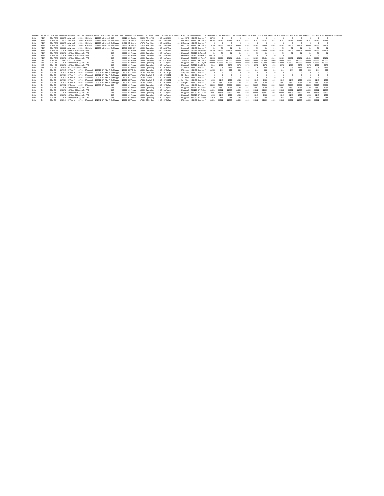|            |            |                | Requestin Performin Departme Departmen Departmen Devision Cr Division Cr Division Ti Section Co Section De GFS Type Fund Code Fund Title Authority ( Authority / Authority / Authority / Authority / Authority / Authority / A |                             |                   |                   |                  |               |                               |           |           |          |          |          |          |              |          |           |          |           |           |           |           |  |
|------------|------------|----------------|--------------------------------------------------------------------------------------------------------------------------------------------------------------------------------------------------------------------------------|-----------------------------|-------------------|-------------------|------------------|---------------|-------------------------------|-----------|-----------|----------|----------|----------|----------|--------------|----------|-----------|----------|-----------|-----------|-----------|-----------|--|
| <b>BOA</b> | <b>ADM</b> | ROA-ADM        | 228875 ADM Real 296644 ADM Inter                                                                                                                                                                                               | 228875 ADM Real GFS         | 10020 GF Continu  | 20896 AD 495VN    | 1F+07 ADRE 49S)  |               | 2 Non-COP   486490 Exp Rec Fr | 33720     |           |          |          |          |          |              |          |           |          |           |           |           |           |  |
| <b>BOA</b> | ADM        | ROA-ADM        | 228875 ADM Real<br>296644 ADM Inter                                                                                                                                                                                            | 228875 ADM Real Self Suppo  | 14300 SR Real Pri | 17378 Real Estate | 1E+07 ADRE Real  | 21 Rent Reco  | 486490 Exp Rec Fr             | 54258     | 16181     | 16181    | 16181    | 16181    | 16181    | 16181        | 16181    | 16181     | 16181    | 16181     | 16181     | 16181     | 16181     |  |
| <b>BOA</b> | <b>ADM</b> | ROA-ADM        | 228875 ADM Real<br>296644 ADM Inter                                                                                                                                                                                            | 228875 ADM Real Self Suppo  | 14300 SR Real Pri | 17378 Real Estate | 1E+07 ADRE Real  | 48 49 South \ | 486490 Exp Rec Fr             |           |           |          |          |          |          |              |          |           |          |           |           |           |           |  |
| <b>BOA</b> | <b>ADM</b> | ROA-ADM        | 296644 ADM Inter<br>228875 ADM Real                                                                                                                                                                                            | 228875 ADM Real Self Suppo  | 14300 SR Real Pri | 17378 Real Estate | 1F+07 ADRF Real  | 53 49 South 1 | 486490 Exp Rec Fr             | 3739      | 58505     | 58505    | 58505    | 58505    | 58505    | 58505        | 58505    | 58505     | 58505    | 58505     | 58505     | 58505     |           |  |
| <b>BOA</b> | <b>ADM</b> | ROA-ADM        | 228880 ADM Repr 296644 ADM Inter                                                                                                                                                                                               | 228880 ADM Repr Self Suppo  | 28310 ISOIS REPR  | 10000 Operating   | 1E+07 ADRP Repr  | 1 Repromail   | 486490 Exp Rec Fr             | 51        | 51        | 51       | 51       | 51       | 51       |              |          |           |          | 51        | 51        |           | 51        |  |
| <b>BOA</b> | <b>ADM</b> | ROA-ADM        | 232076 BOA Board Of Appeals - PAB                                                                                                                                                                                              | GFS                         | 10000 GF Annual   | 10000 Operating   | 1E+07 BA Appeal  | RA Anneal     | 581083 ADM-Real               | $-2729$   | 58505     | 58505    | $-58505$ | 58505    | 58505    | 58505        | $-58505$ | $-5022 -$ | $-58505$ | 20282-    | 58505     | 58505     | $-58505$  |  |
| <b>BOA</b> | <b>ADM</b> | <b>BOA-ADM</b> | 232076 BOA Board Of Appeals - PAB                                                                                                                                                                                              | GFS                         | 10000 GF Annual   | 10000 Operating   | 1E+07 BA Appeal  | 1 BA Appeal   | 581820 Is-Purch-R             | $-51$     | $-51$     | $-51$    | $-51$    | $-51$    | $-51$    | $-51$        | $-51$    | $-51$     | $-51$    | $-51$     | $-51$     | $-51$     | $-51$     |  |
| <b>BOA</b> | <b>ADM</b> | ROA-ADM        | 232076 BOA Board Of Appeals - PAB                                                                                                                                                                                              | GFS                         | 10000 GF Annual   | 10000 Operating   | 1F+07 RA Anneal  | BA Appeal     | 581860 GE-Real Fs             | $-33720$  |           |          |          |          |          |              |          |           |          |           |           |           |           |  |
| <b>BOA</b> | <b>ADM</b> | BOA-ADM        | 232076 BOA Board Of Appeals - PAB                                                                                                                                                                                              | GFS                         | 10000 GF Annual   | 10000 Operating   | 1E+07 BA Appeal  | 1 BA Appeal   | 581890 GF-Rent P;             | $-54258$  | 16181     | $-16181$ | $-16181$ | $-16181$ | $-16181$ | $-16181$     | $-16181$ | $-16181$  | $-16181$ | $-16181$  | $-16181$  | $-16181$  | $-16181$  |  |
| <b>BOA</b> | CAT        | ROA-CAT        | 229042 CAT City Attorney                                                                                                                                                                                                       | GFS                         | 10000 GF Annual   | 10000 Operating   | 1E+07 CA Legal S | 1 Legal Servi | 486490 Exp Rec Fr             | 130000    | 130000    | 130000   | 130000   | 130000   | 130000   | 130000       | 130000   | 130000    | 130000   | 130000    | 130000    | 130000    | 130000    |  |
| <b>BOA</b> | CAT        | ROA-CAT        | 232076 BOA Board Of Appeals - PAB                                                                                                                                                                                              | GFS                         | 10000 GF Annual   | 10000 Operating   | 1F+07 RA Anneal  | RA Anneal     | 581270 GE-City Att            | $-130000$ | $-130000$ | 130000   | 130000   | 130000   | 130000   | 130000       | 130000   | 130000    | 130000   | $-130000$ | $-130000$ | $-130000$ | $-130000$ |  |
| <b>BOA</b> | <b>HSS</b> | <b>BOA-HSS</b> | 232076 BOA Board Of Appeals - PAB                                                                                                                                                                                              | GES                         | 10000 GF Annual   | 10000 Operating   | 1E+07 BA Appeal  | 1 BA Appeal   | 515510 Health Ser             | $-2311$   | $-2378$   | $-2378$  | $-2378$  | $-2378$  | $-2378$  | $-2378$      | $-2378$  | $-2378$   | $-2378$  | $-2378$   | $-2378$   | $-2378$   | $-2378$   |  |
| <b>BOA</b> | HSS        | <b>BOA-HSS</b> | 291644 HSS Health Service System                                                                                                                                                                                               | GFS                         | 10000 GF Annual   | 10000 Operating   | 1E+07 HT Admini  | 1 HSS Admir   | 486490 Exp Rec Fr             | 2311      | 2378      | 2378     | 2378     | 2378     | 2378     | 2378         | 2378     | 2378      | 2378     | 2378      | 2378      | 2378      | 2378      |  |
| <b>BOA</b> | TI.        | <b>BOA-TI</b>  | 207917 DT Adm Te 207915 DT Admini                                                                                                                                                                                              | 207917 DT Adm Tr Self Suppo | 28100 ISTIF NON   | 10000 Operating   | 1E+07 DT Dt Ope  | 1 DT Operat   | 486490 Exp Rec Fr             | 11960     | 644       | 644      | 644      | 644      | 644      | 644          | 644      | 644       | 644      | 644       | 644       | 644       | 644       |  |
| <b>BOA</b> | <b>TIS</b> | ROA-TIS        | 207921 DT Adm Pr 207915 DT Admini                                                                                                                                                                                              | 207921 DT Adm Pr Self Suppo | 28070 ISTIF Annu  | 17582 DT Dt One   | 1F+07 DT Dt One  | 1 DT Operat   | 486490 Exp Rec Fr             |           |           |          |          |          |          |              |          |           |          |           |           |           |           |  |
| <b>BOA</b> | <b>TIS</b> | BOA-TIS        | 207921 DT Adm Pr 207915 DT Admini                                                                                                                                                                                              | 207921 DT Adm Pr Self Suppo | 28070 ISTIF Annu  | 17608 Dt Work O   | 1E+07 DT INTERD  |               | 1 CO - Cont 486490 Exp Rec Fr |           |           |          |          |          |          |              |          |           |          |           |           |           |           |  |
| <b>BOA</b> | TI.        | ROA-TP         | 207921 DT 4dm Pr 207915 DT 4dmini                                                                                                                                                                                              | 207921 DT Adm Pr Self Suppo | 28070 ISTIF Annu  | 17608 Dt Work O   | 1F+07 DT INTERE  | 8 EAs - Adob  | 486490 Exp Rec Fr             |           |           |          |          |          |          |              |          |           |          |           |           |           |           |  |
| <b>BOA</b> | <b>TIS</b> | <b>BOA-TI</b>  | 207921 DT Adm Pr 207915 DT Admini                                                                                                                                                                                              | 207921 DT Adm Pr Self Suppo | 28070 ISTIF Annu  | 17608 Dt Work O   | 1E+07 DT INTERD  | 18 EAs - Micr | 486490 Exp Rec Fr             | 1243      | 1243      | 1243     | 1243     | 1243     | 1243     | 1243         | 1243     | 1243      | 1243     | 1243      | 1243      | 1243      | 1243      |  |
| <b>BOA</b> | TI.        | ROA-TP         | 207915 DT Admini<br>207921 DT Adm Pr                                                                                                                                                                                           | 207921 DT Adm Pr Self Suppo | 28070 ISTIF Annu  | 17608 Dt Work O   | 1E+07 DT INTERD  | 737 DT Depts' | 486490 Exp Rec Fr             | 1587      | 1587      | 1587     | 1587     | 1587     | 1587     | 1587         | 1587     | 1587      | 1587     | 1587      | 1587      | 1587      | 1587      |  |
| <b>BOA</b> | <b>TIS</b> | ROA-TIS        | 207938 DT Commi 130679 DT Commi                                                                                                                                                                                                | 202938 DT Commi GFS         | 10000 GF Annual   | 10000 Operating   | 1E+07 DT Dt Ope  | 1 DT Operat   | 486490 Fyn Rec Fr             | 5,8805    | 58805     | 58805    | 58805    | 58805    | 58805    | 58805        | 58805    | 58805     | 58809    | 58805     | 58805     | 5,8805    | SRROS     |  |
| <b>BOA</b> | <b>TIS</b> | BOA-TIS        | 232076 BOA Board Of Appeals - PAB                                                                                                                                                                                              | GFS                         | 10000 GF Annual   | 10000 Operating   | 1E+07 BA Appeal  | 1 BA Appeal   | 581140 DT Techno              | $-1587$   | $-1587$   | $-1587$  | $-1587$  | $-1587$  | 1587     | $-1587$      | $-1587$  | $-1587$   | $-1587$  | $-1587$   | $-1587$   | $-1587$   | $-1587$   |  |
| <b>BOA</b> | TI.        | <b>BOA-TI</b>  | 232076 BOA Board Of Appeals - PAB                                                                                                                                                                                              | GFS                         | 10000 GF Annual   | 10000 Operating   | 1E+07 BA Appeal  | BA Appeal     | 581210 DT Techno              | $-11821$  | 11862     | $-11862$ | $-11862$ | 11862    | $-11862$ | 11862        | $-11862$ | 11862     | $-11862$ | $-11862$  | 11862     | $-11862$  | $-11862$  |  |
| <b>BOA</b> | <b>TIS</b> | BOA-TE         | 232076 BOA Board Of Appeals - PAB                                                                                                                                                                                              | GFS                         | 10000 GF Annual   | 10000 Operating   | 1E+07 BA Appeal  | 1 BA Appeal   | 581280 DT SFGov               | $-58805$  | 58805     | $-58805$ | $-58805$ | 58805    | 5,8805   | <b>SRRNS</b> | SRROS    | $-58805$  | $-58805$ | -58805    | 58805     | 58805     | $-58805$  |  |
| <b>BOA</b> | <b>TIS</b> | ROA-TIS        | 232076 BOA Board Of Appeals - PAB                                                                                                                                                                                              | GFS                         | 10000 GF Annual   | 10000 Operating   | 1E+07 BA Appeal  | BA Appeal     | 581325 DT Enterne             | $-1243$   | $-1743$   | $-1243$  | $-1743$  | $-1243$  | $-1243$  | $-1243$      | $-1243$  | $-1743$   | $-1743$  | $-1243$   | $-1243$   | $-1743$   | $-1243$   |  |
| <b>BOA</b> | <b>TIS</b> | <b>BOA-TIS</b> | 232076 BOA Board Of Appeals - PAB                                                                                                                                                                                              | GFS                         | 10000 GF Annual   | 10000 Operating   | 1E+07 BA Appeal  | BA Appeal     | 581360 DT Telecor             | $-11960$  | $-644$    | 644      | $-644$   | 644      | $-644$   | 644          | $-644$   | 644       | $-644$   | $-644$    | $-644$    | 644       | $-644$    |  |
| <b>BOA</b> | <b>TIS</b> | ROA-TIS        | 232341 DT Adm Ar 207915 DT Admini                                                                                                                                                                                              | 232341 DT Adm Ar Self Sunne | 28070 ISTIF Annu  | 17582 DT Dt Ope   | 1F+07 DT Dt One  | 1 DT Operat   | 486490 Exp Rec Fr             | 11821     | 11862     | 11862    | 11862    | 11862    | 11862    | 11867        | 11867    | 11862     | 11862    | 11862     | 11862     | 11862     | 11867     |  |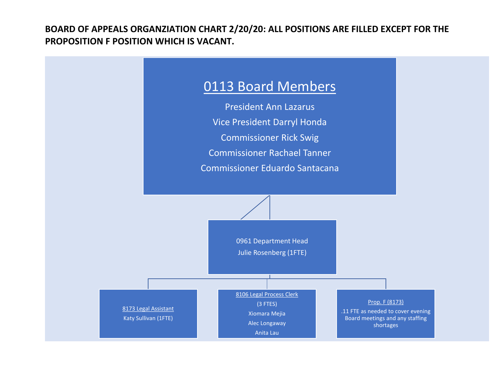**BOARD OF APPEALS ORGANZIATION CHART 2/20/20: ALL POSITIONS ARE FILLED EXCEPT FOR THE PROPOSITION F POSITION WHICH IS VACANT.**